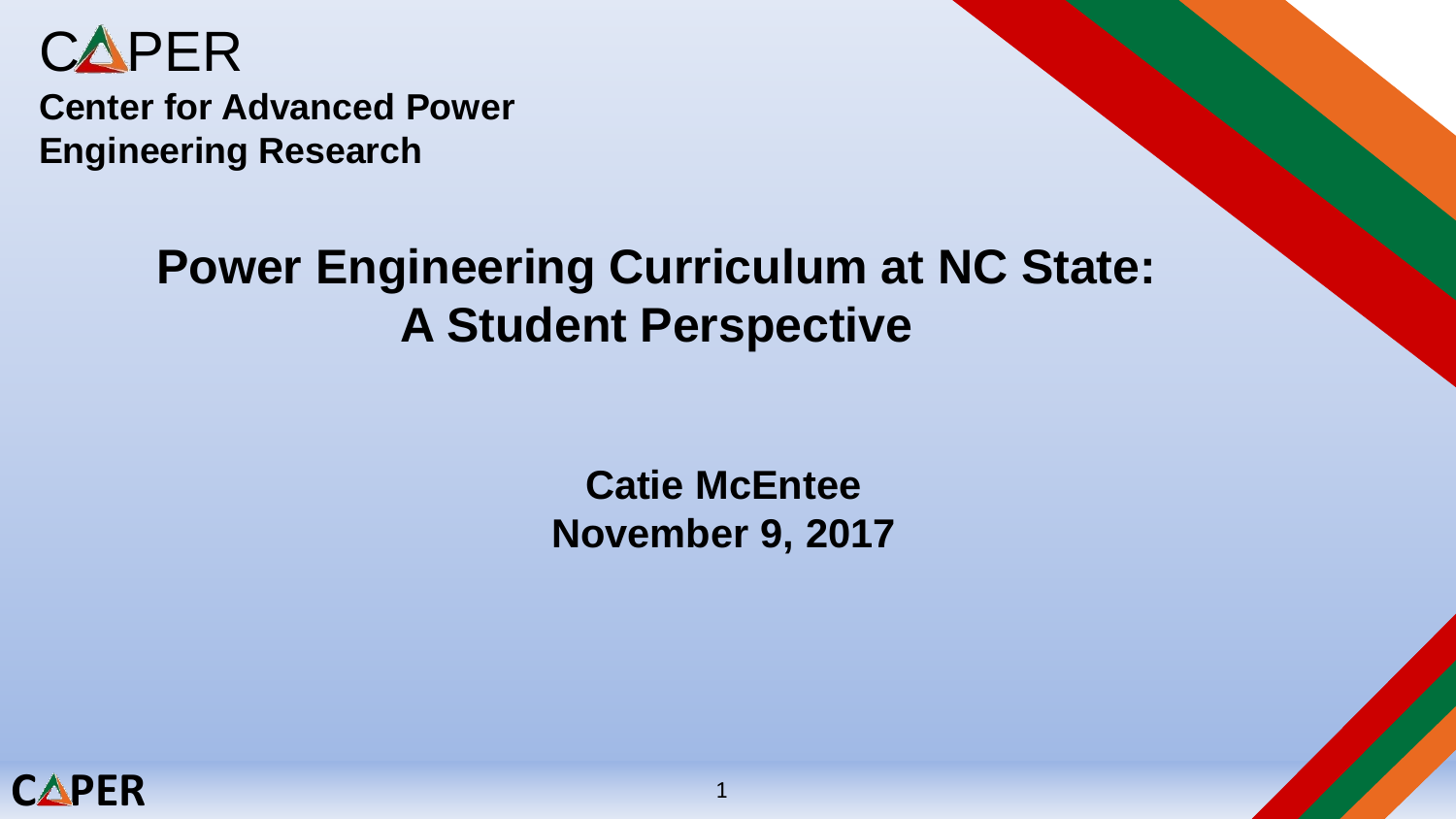

**Center for Advanced Power Engineering Research**

### **Power Engineering Curriculum at NC State: A Student Perspective**

**Catie McEntee November 9, 2017**

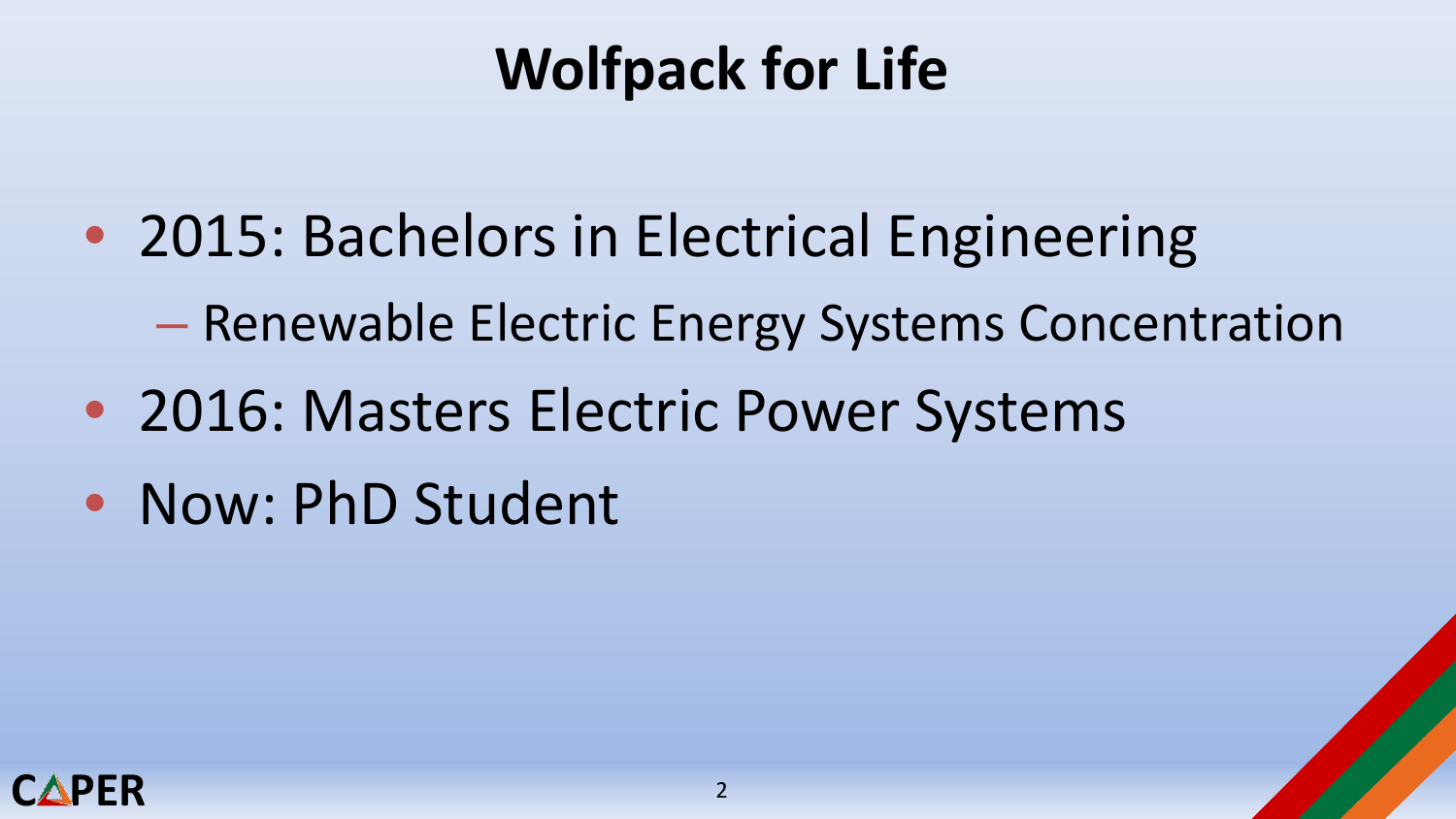# **Wolfpack for Life**

• 2015: Bachelors in Electrical Engineering

– Renewable Electric Energy Systems Concentration

- 2016: Masters Electric Power Systems
- Now: PhD Student

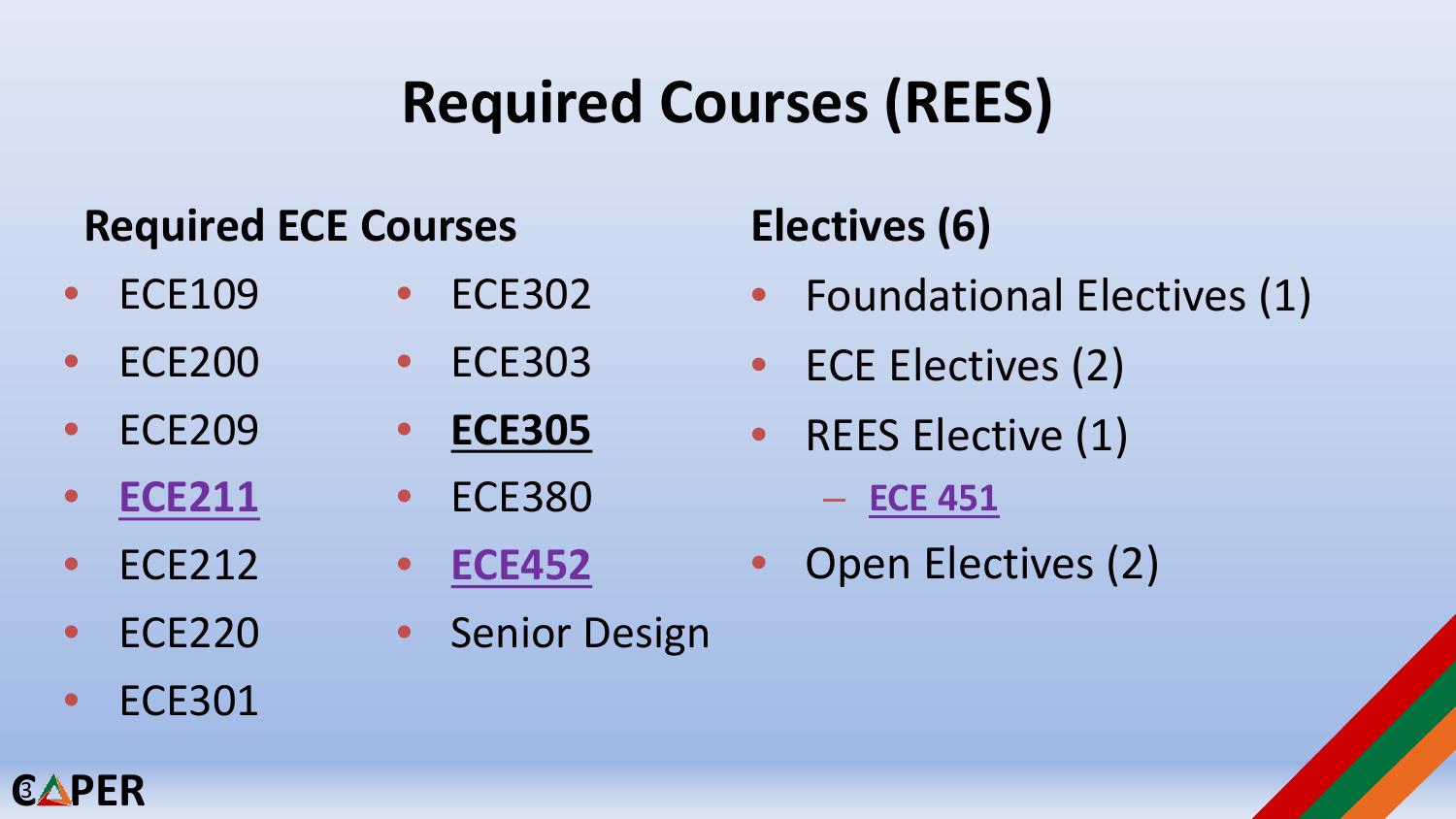# **Required Courses (REES)**

### **Required ECE Courses**

• **ECE109** • ECE302

• **ECE305**

• **ECE452**

• Senior Design

• **ECE380** 

- **ECE200** • ECE303
- ECE209
- **ECE211**
- **ECE212**
- **ECE220**
- **ECE301**

**CAPER** 

### **Electives (6)**

- Foundational Electives (1)
- ECE Electives (2)
- REES Elective (1)
	- **ECE 451**
- Open Electives (2)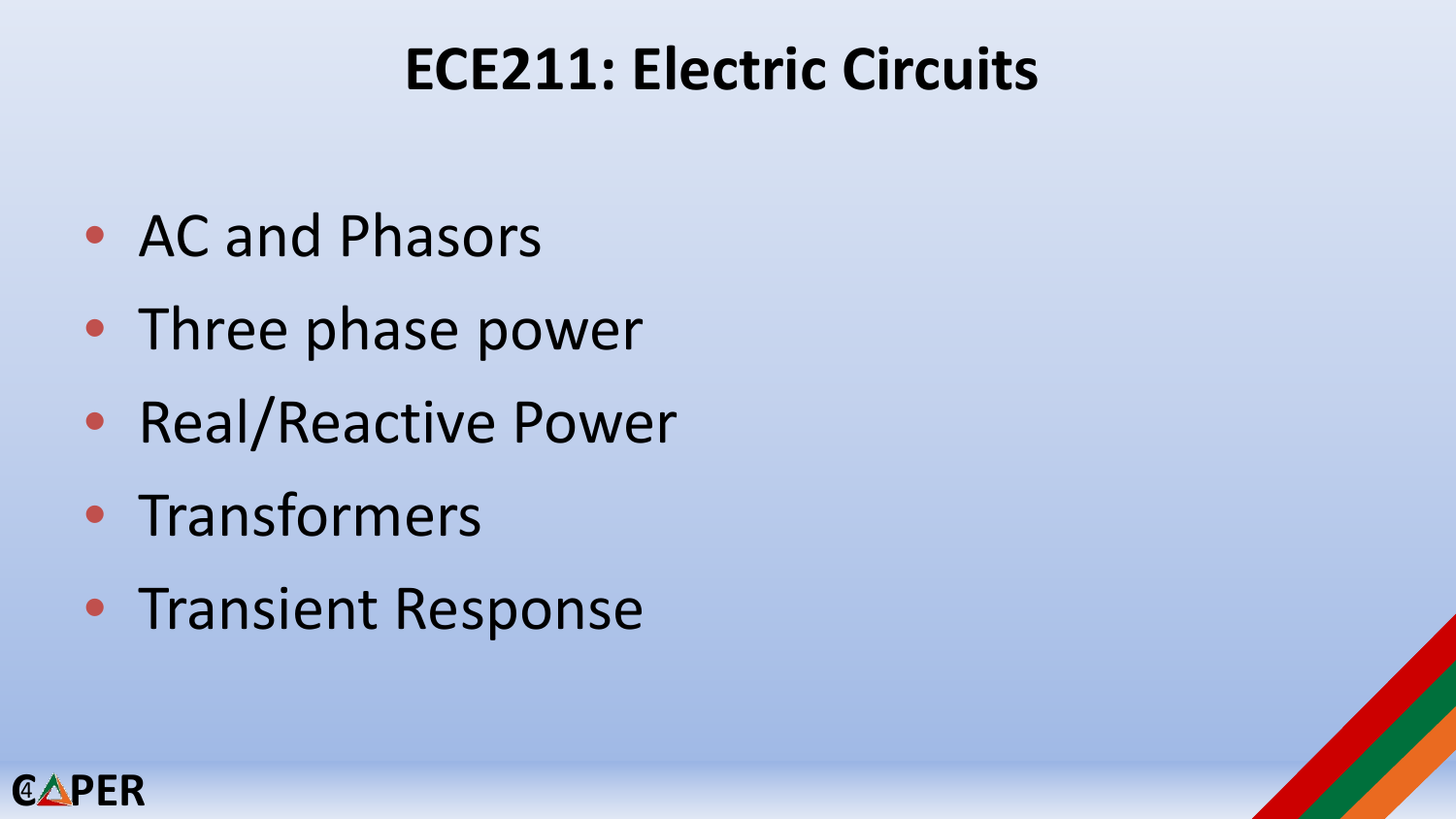### **ECE211: Electric Circuits**

- AC and Phasors
- Three phase power
- Real/Reactive Power
- Transformers
- Transient Response

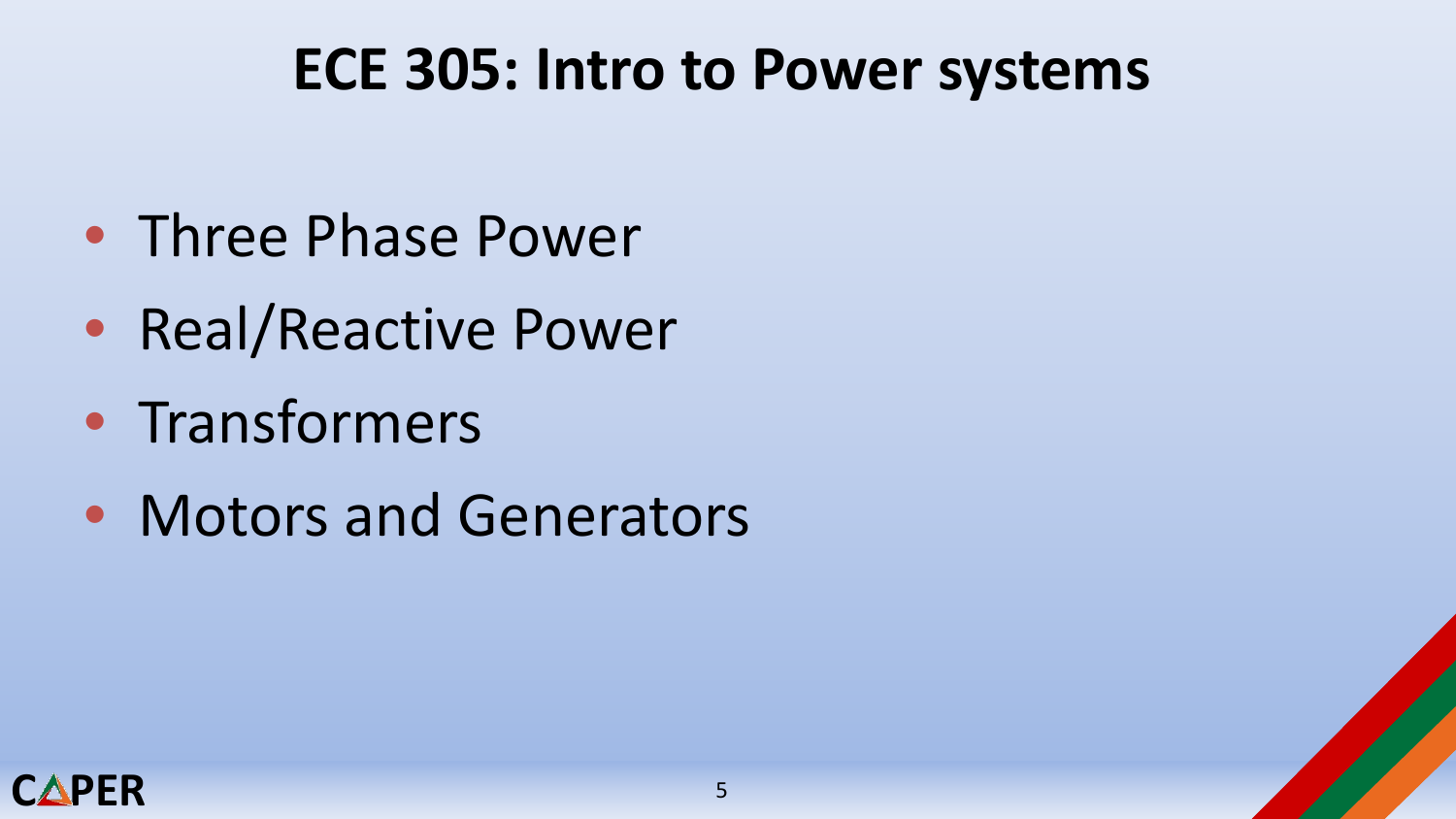### **ECE 305: Intro to Power systems**

- Three Phase Power
- Real/Reactive Power
- Transformers
- Motors and Generators

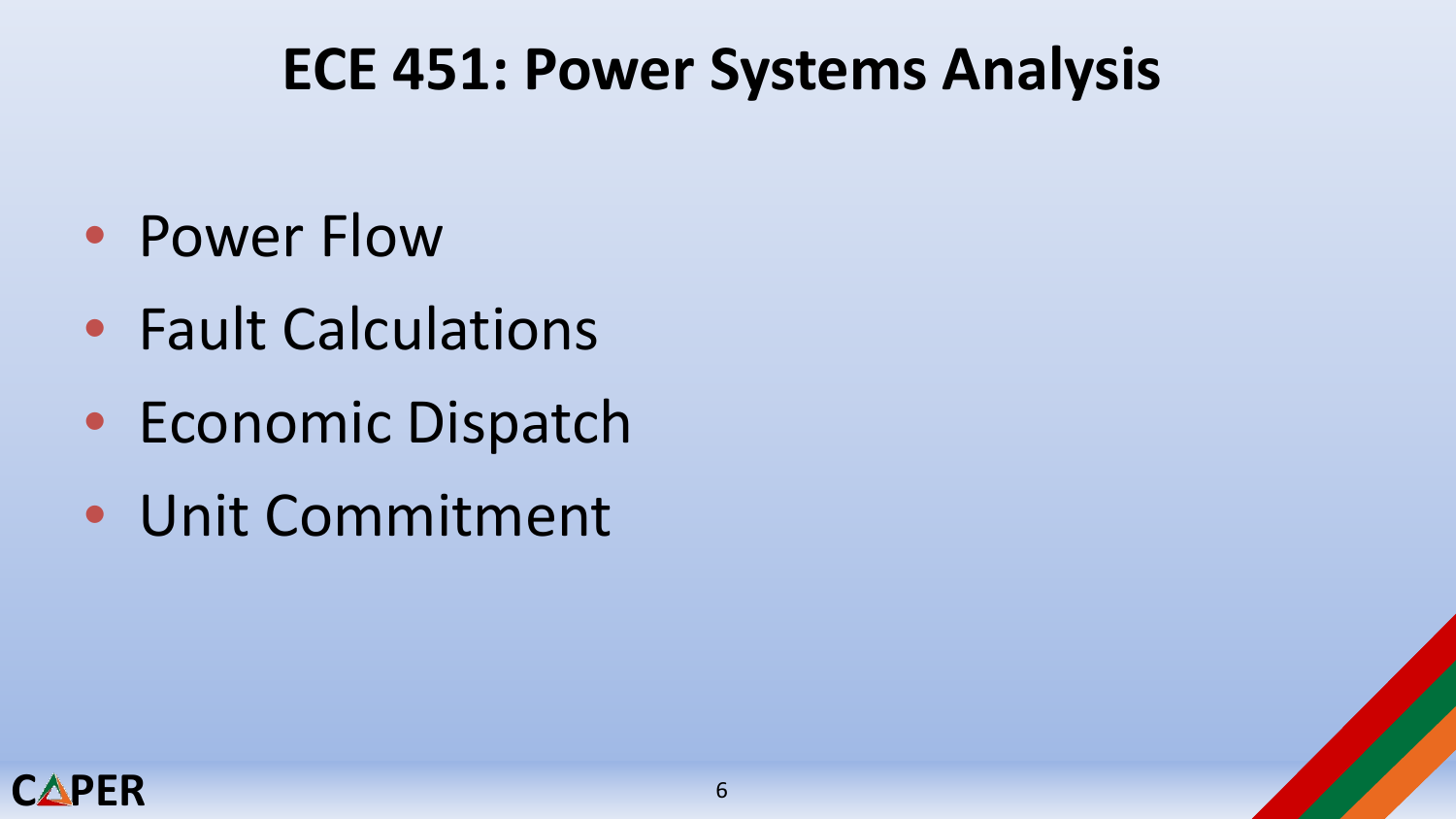### **ECE 451: Power Systems Analysis**

- Power Flow
- Fault Calculations
- Economic Dispatch
- Unit Commitment

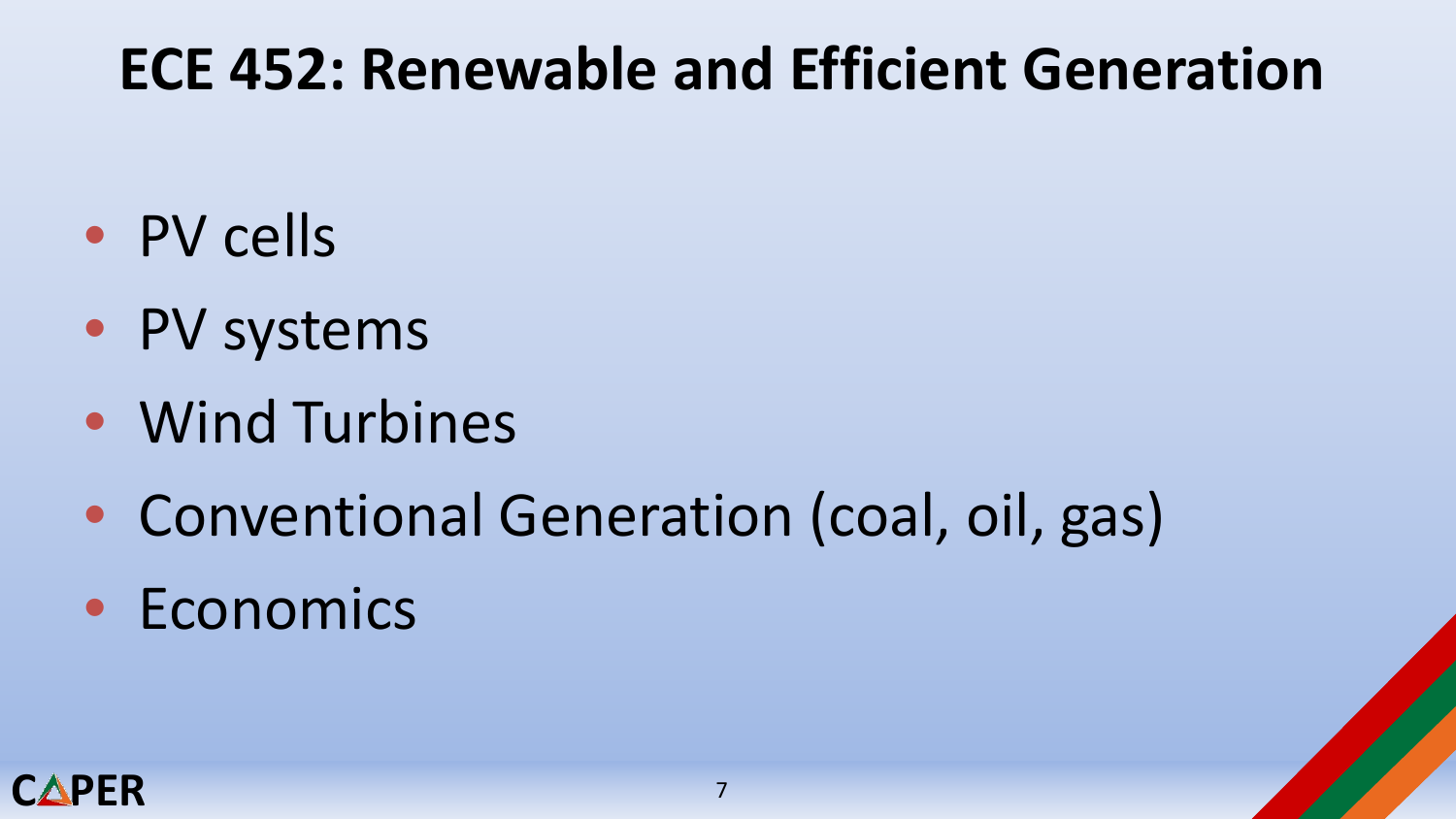## **ECE 452: Renewable and Efficient Generation**

- PV cells
- PV systems
- Wind Turbines
- Conventional Generation (coal, oil, gas)
- Economics

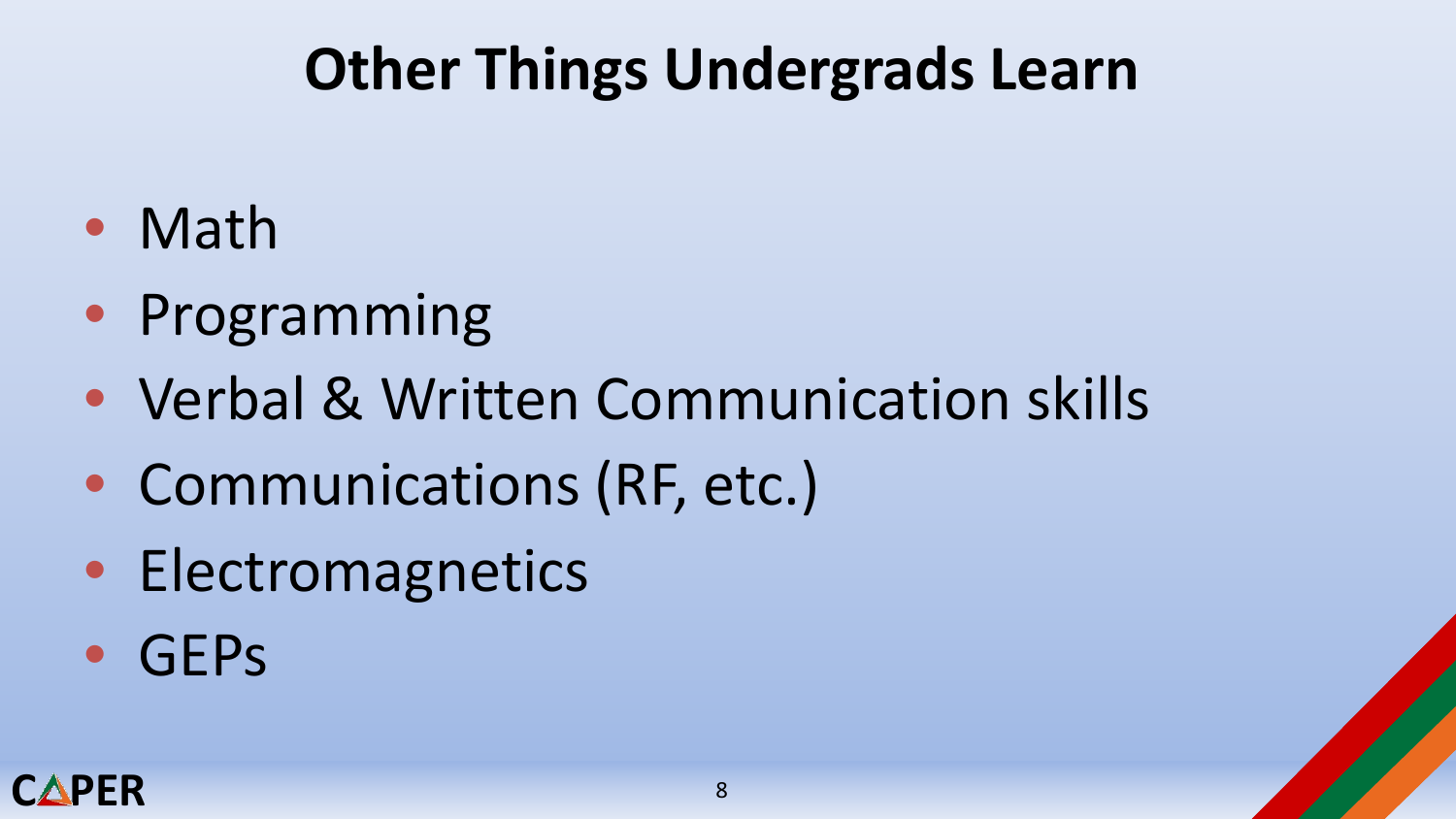# **Other Things Undergrads Learn**

- Math
- Programming
- Verbal & Written Communication skills
- Communications (RF, etc.)
- Electromagnetics
- GEPs

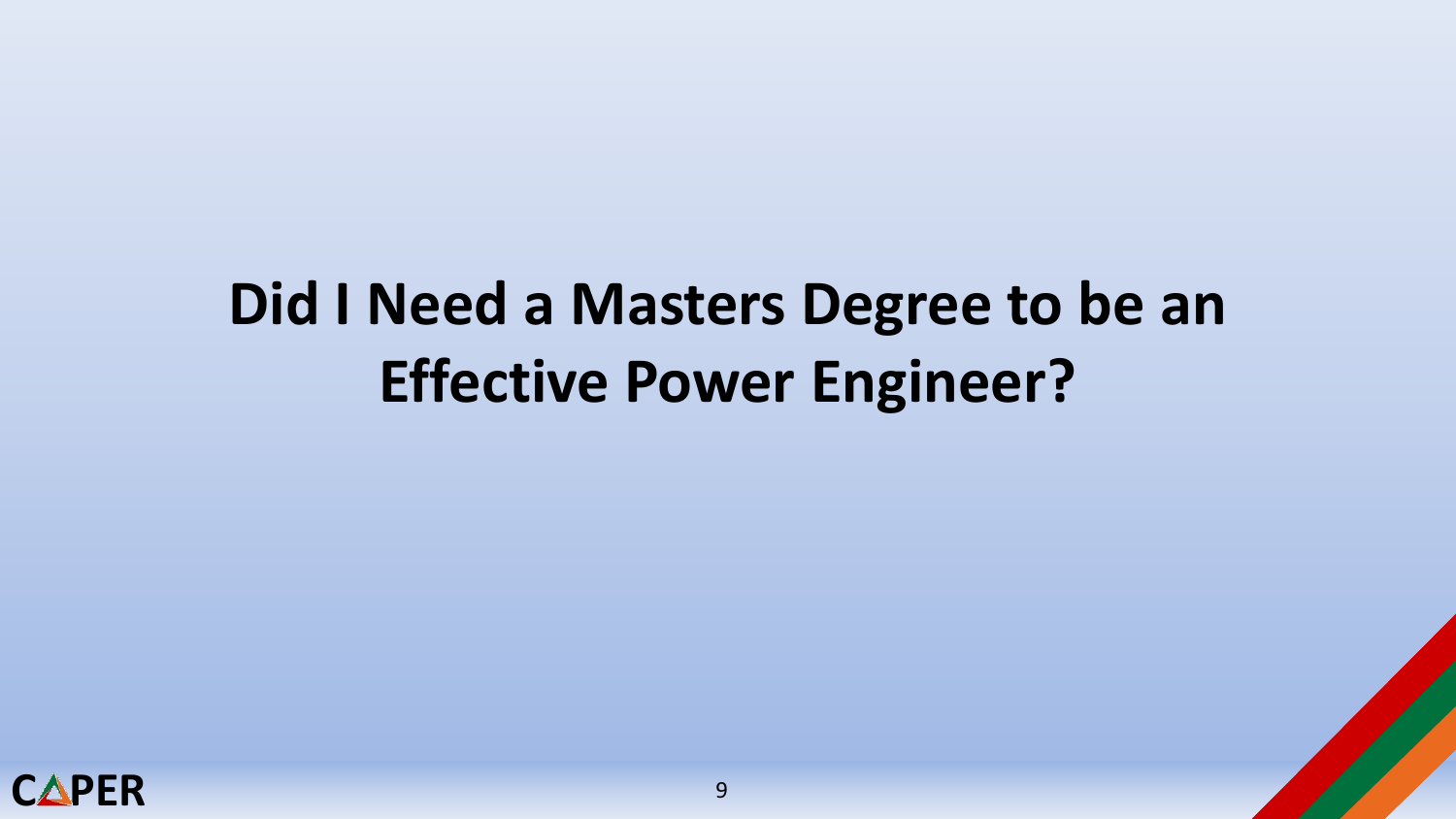# **Did I Need a Masters Degree to be an Effective Power Engineer?**

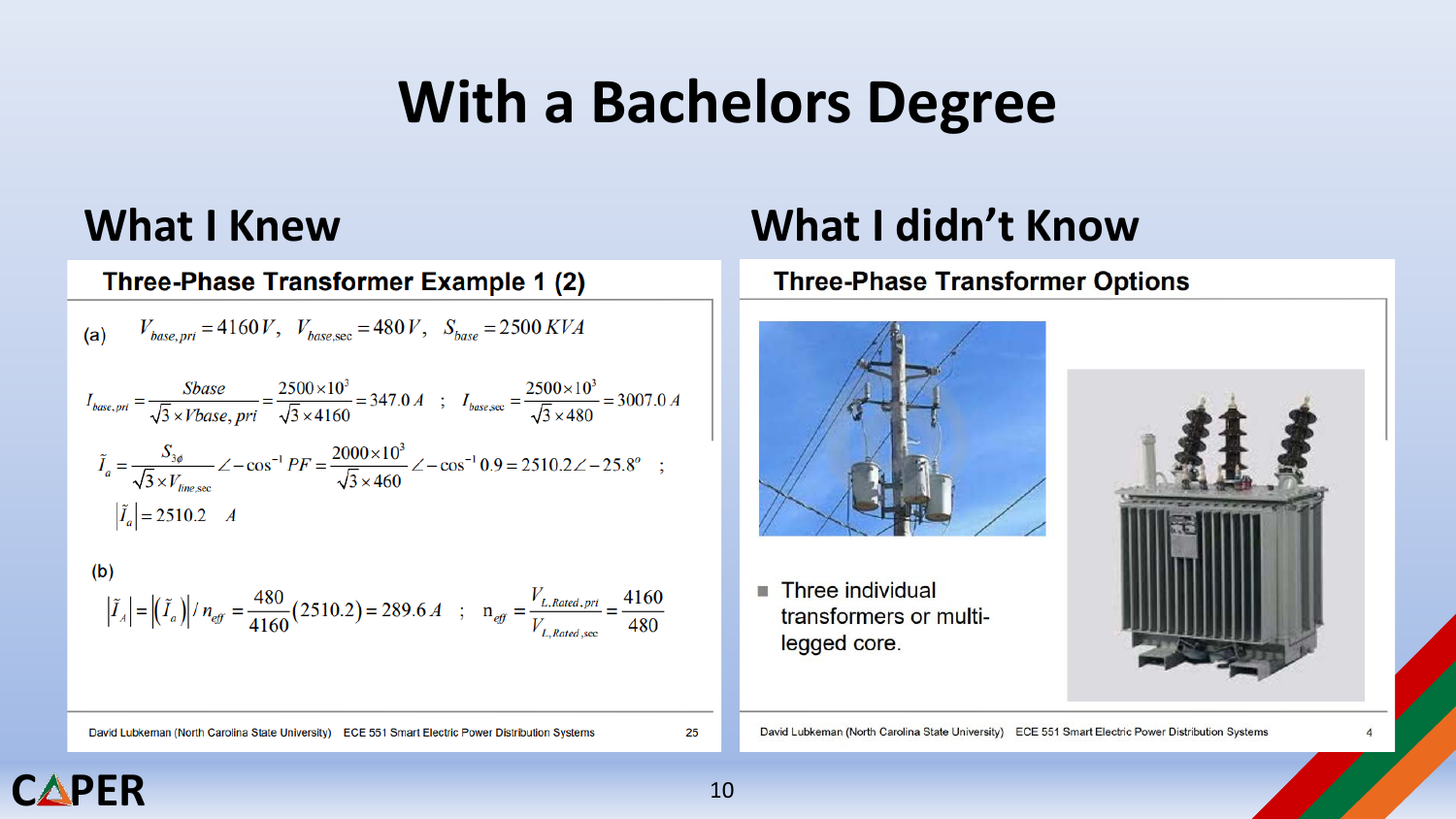## **With a Bachelors Degree**

Three-Phase Transformer Example 1 (2)

(a) 
$$
V_{base,pri} = 4160 V
$$
,  $V_{base,sec} = 480 V$ ,  $S_{base} = 2500 KVA$   
\n $I_{base,pri} = \frac{Sbase}{\sqrt{3} \times Vbase, pri} = \frac{2500 \times 10^3}{\sqrt{3} \times 4160} = 347.0 A$ ;  $I_{base,sec} = \frac{2500 \times 10^3}{\sqrt{3} \times 480} = 3007.0 A$   
\n $\tilde{I}_a = \frac{S_{3\phi}}{\sqrt{3} \times V_{line,sec}} \angle -\cos^{-1} PF = \frac{2000 \times 10^3}{\sqrt{3} \times 460} \angle -\cos^{-1} 0.9 = 2510.2 \angle -25.8^\circ$ ;  
\n $|\tilde{I}_a| = 2510.2 A$ 

 $\left|\tilde{I}_A\right| = \left|\left(\tilde{I}_a\right)\right|/n_{\text{eff}} = \frac{480}{4160}(2510.2) = 289.6 \text{ A}$ ;  $n_{\text{eff}} = \frac{V_{L, Rated, pri}}{V_{L, Rated, sec}} = \frac{4160}{480}$ 

David Lubkeman (North Carolina State University) ECE 551 Smart Electric Power Distribution Systems

### **What I Knew What I didn't Know**

### **Three-Phase Transformer Options**



Three individual transformers or multilegged core.



![](_page_9_Picture_11.jpeg)

 $(b)$ 

25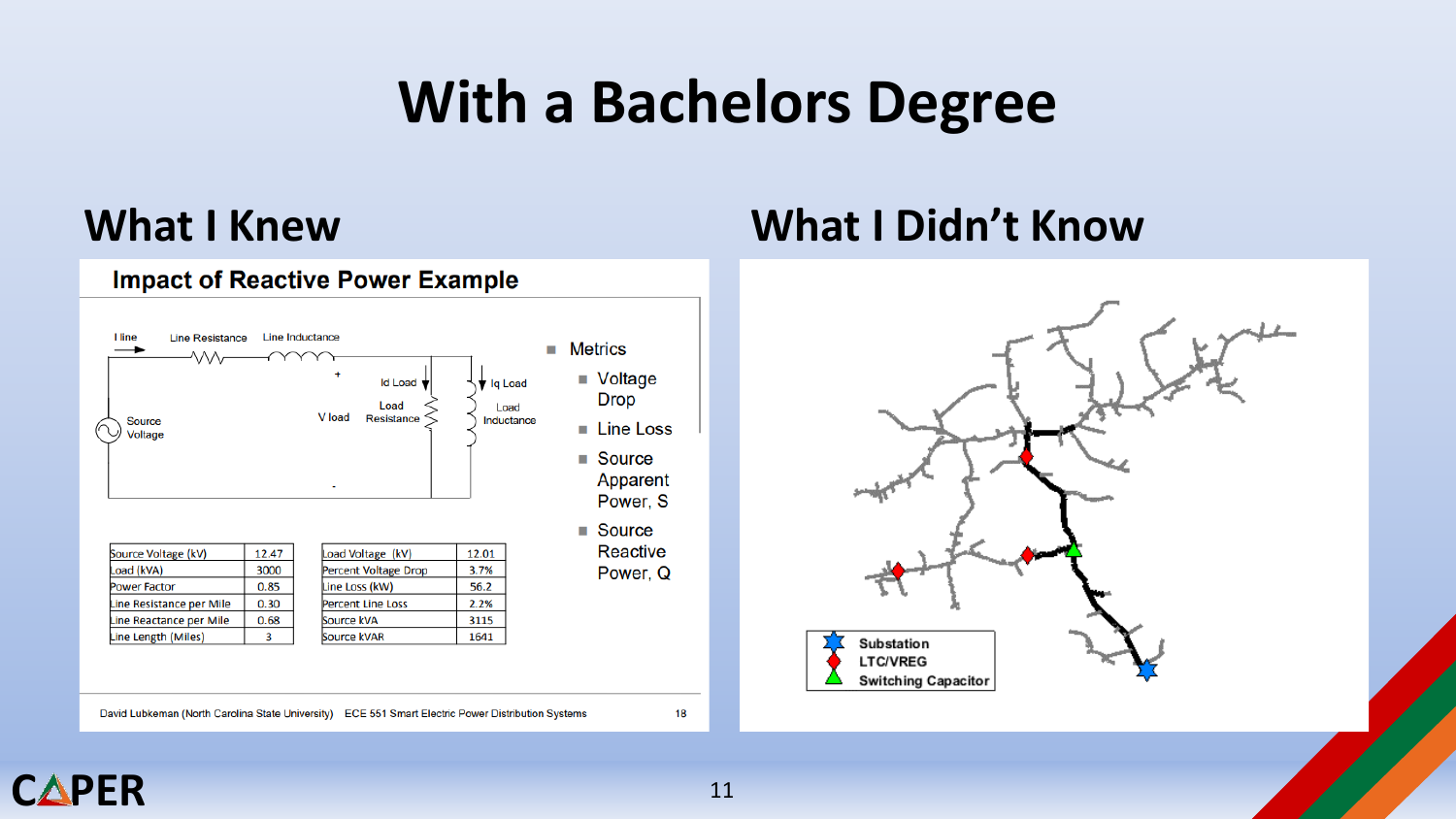## **With a Bachelors Degree**

### **Impact of Reactive Power Example** I line **Line Inductance Line Resistance**  $\blacksquare$  Metrics  $\blacksquare$  Voltage **Id Load Iq Load Drop** Load Load V load Resistance Inductance Source Line Loss Voltage ■ Source Apparent Power, S ■ Source **Reactive** Source Voltage (kV) 12.47 Load Voltage (kV) 12.01 3000 Percent Voltage Drop 3.7% Power, Q Load (kVA) 0.85 56.2 Power Factor Line Loss (kW) Line Resistance per Mile 0.30 Percent Line Loss 2.2% 0.68 Source kVA 3115 Line Reactance per Mile Line Length (Miles)  $\overline{\mathbf{3}}$ Source kVAR 1641

### David Lubkeman (North Carolina State University) ECE 551 Smart Electric Power Distribution Systems

### 18

### **What I Knew What I Didn't Know**

![](_page_10_Figure_6.jpeg)

![](_page_10_Picture_7.jpeg)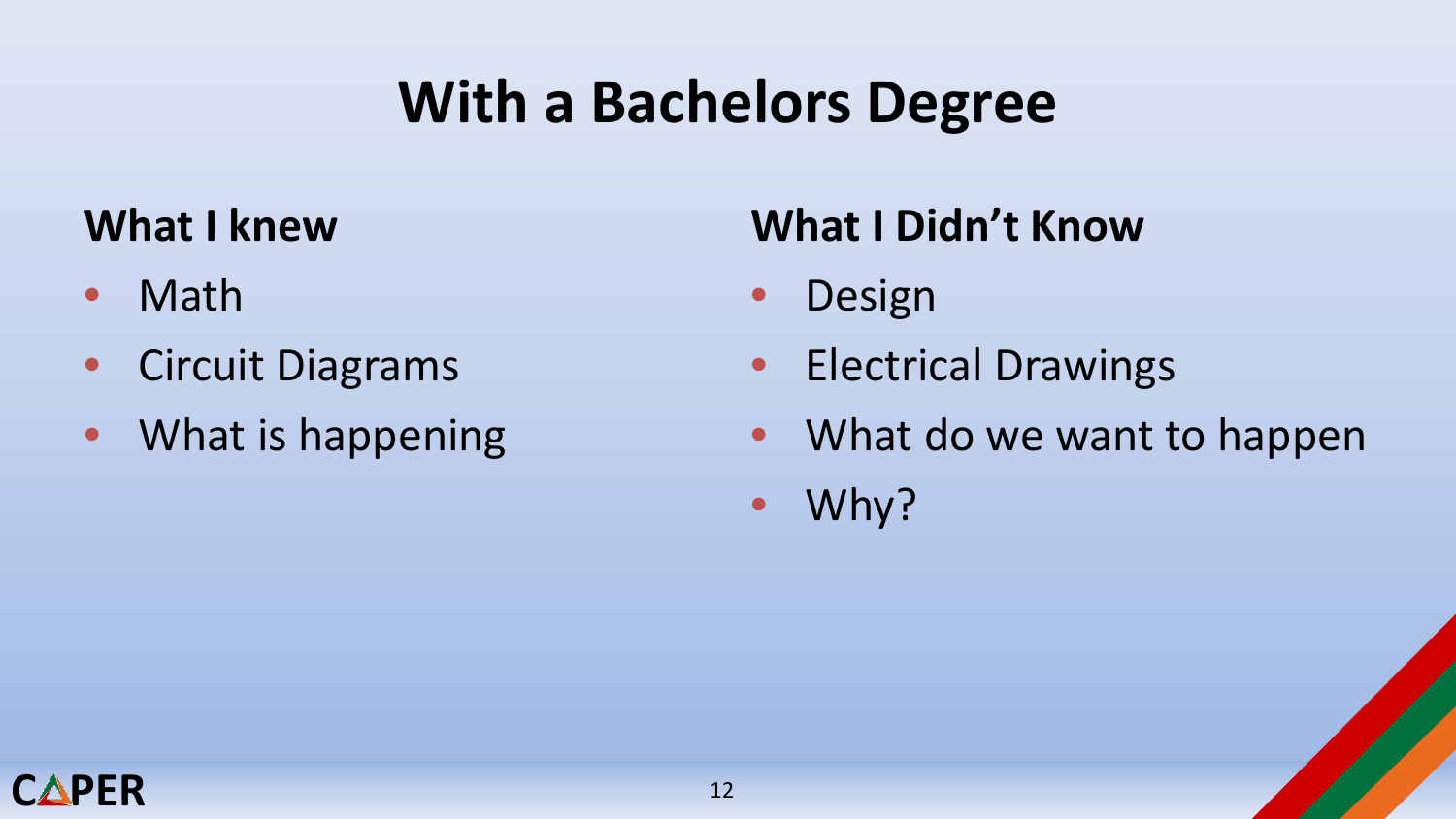# **With a Bachelors Degree**

### **What I knew**

- Math
- Circuit Diagrams
- What is happening

### **What I Didn't Know**

- Design
- Electrical Drawings
- What do we want to happen
- Why?

![](_page_11_Picture_10.jpeg)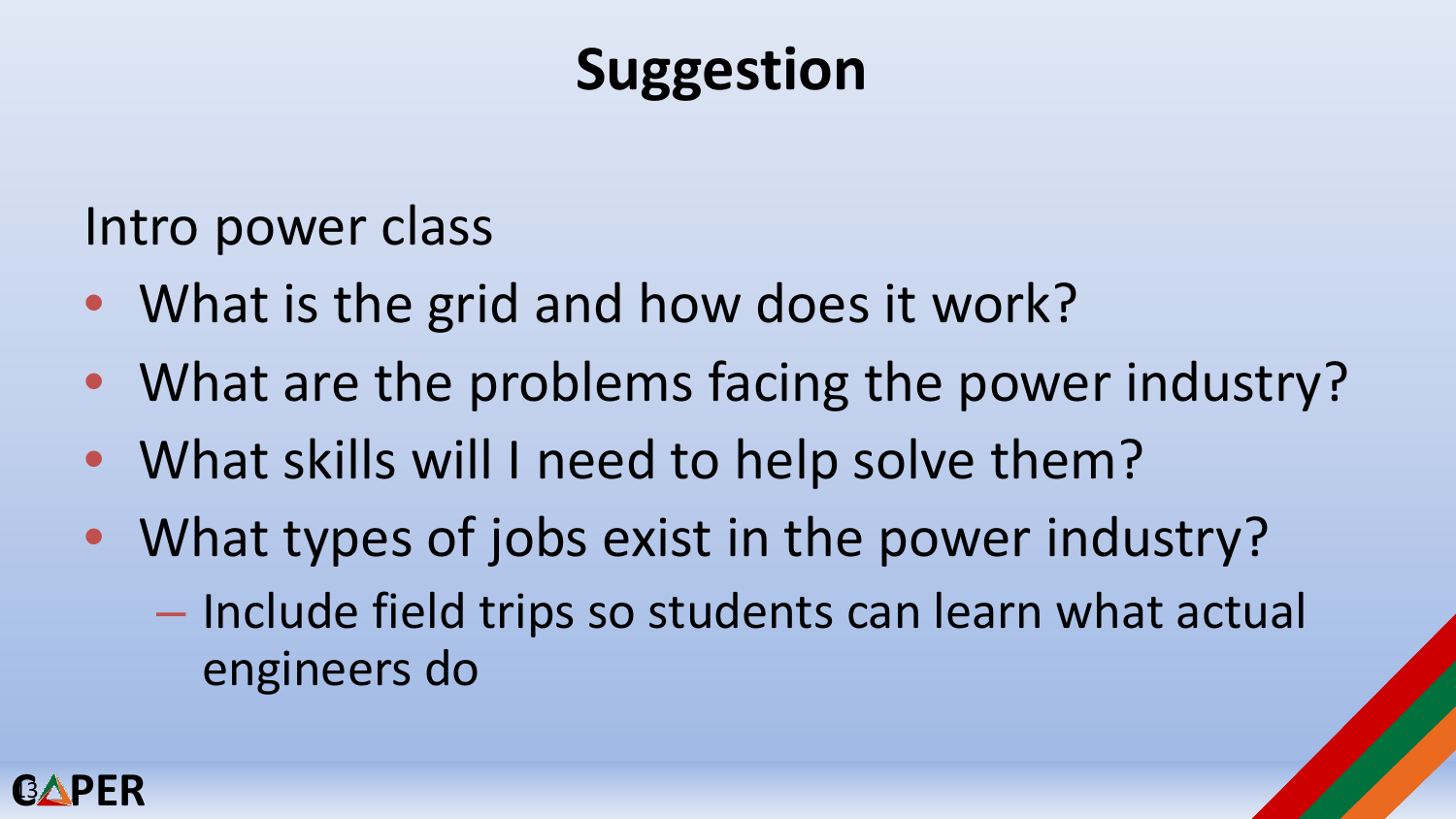### **Suggestion**

Intro power class

- What is the grid and how does it work?
- What are the problems facing the power industry?
- What skills will I need to help solve them?
- What types of jobs exist in the power industry?
	- Include field trips so students can learn what actual engineers do

![](_page_12_Picture_7.jpeg)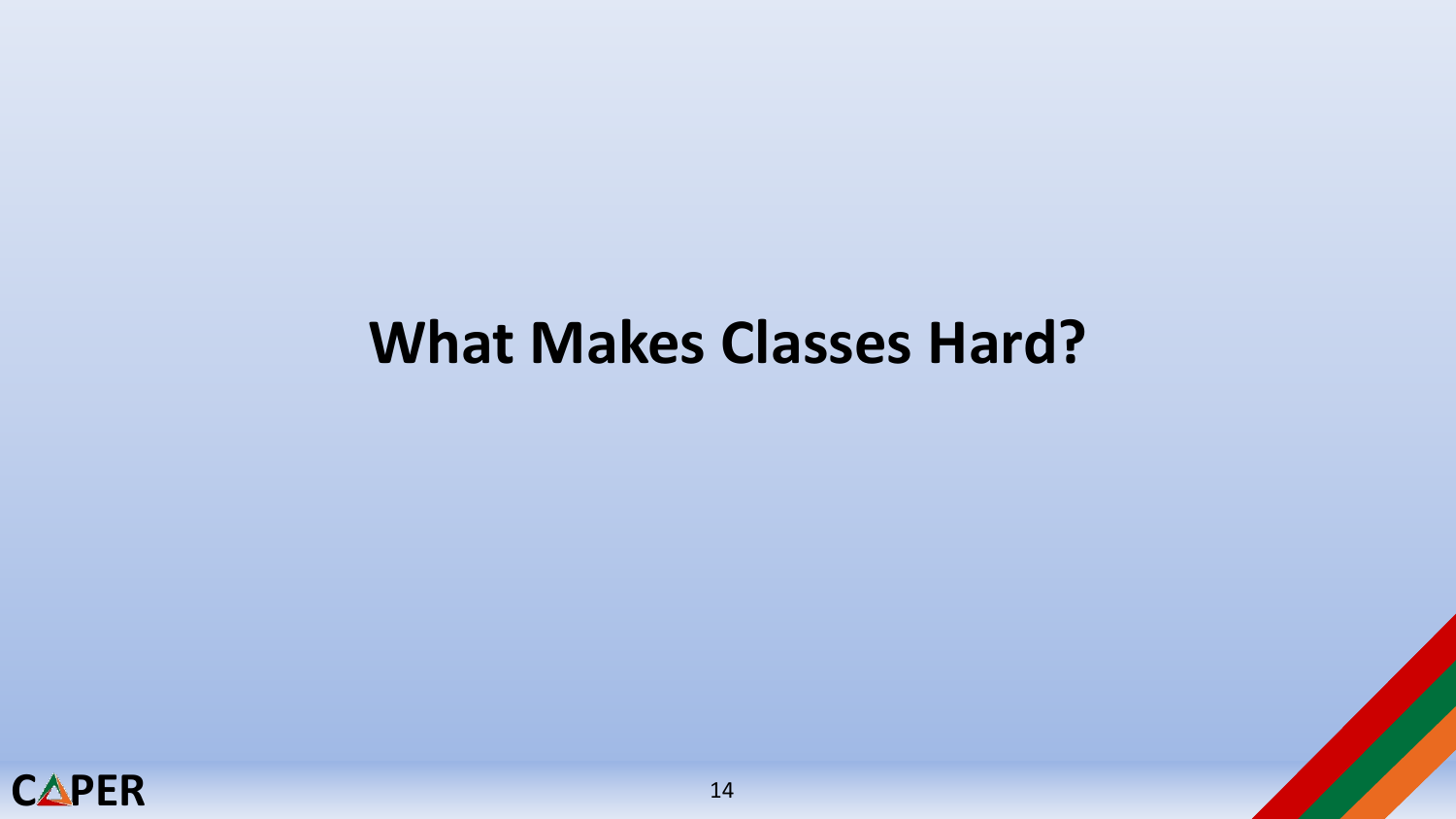### **What Makes Classes Hard?**

![](_page_13_Picture_1.jpeg)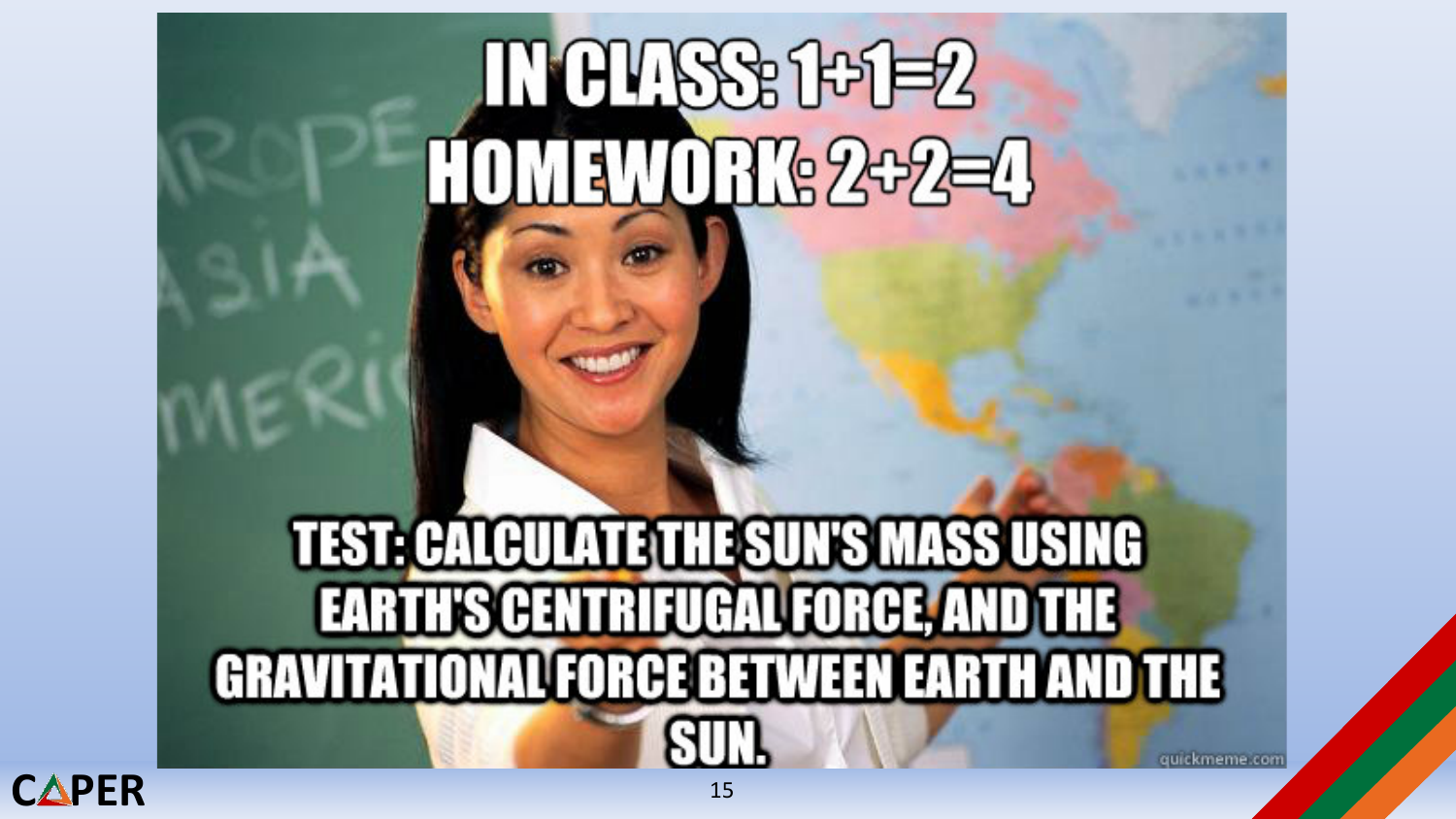# **MOVISS: 1:1=2** UHK 2+2=4

# TEST: CALCULATE THE SULVS MASS USING **ELRIUSGENHEIDELLUGELS AND THE** GRAVITATIONAL FORCE BETWEEN EARTH AND THE

![](_page_14_Picture_2.jpeg)

quickmeme.com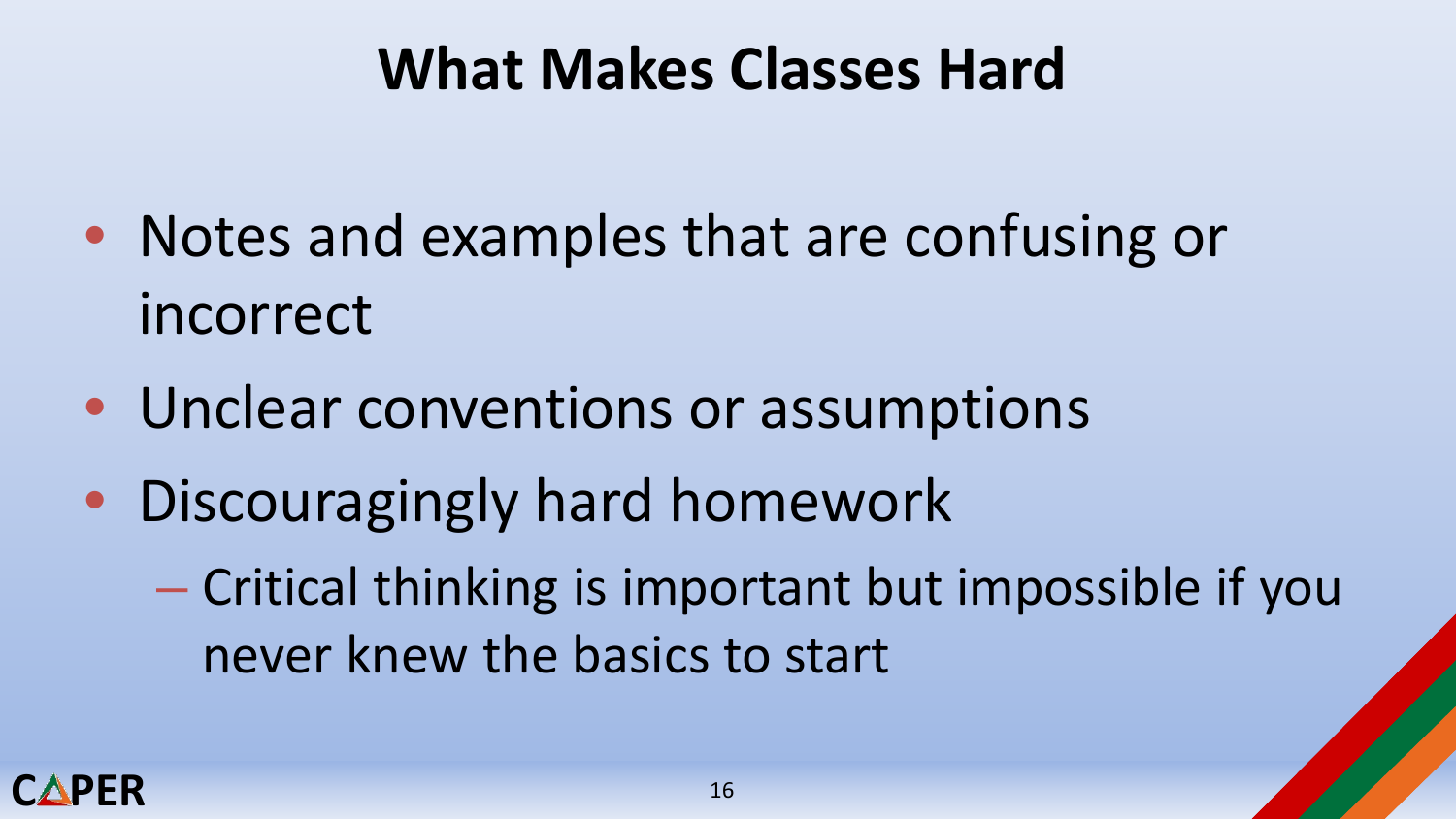### **What Makes Classes Hard**

- Notes and examples that are confusing or incorrect
- Unclear conventions or assumptions
- Discouragingly hard homework
	- Critical thinking is important but impossible if you never knew the basics to start

![](_page_15_Picture_5.jpeg)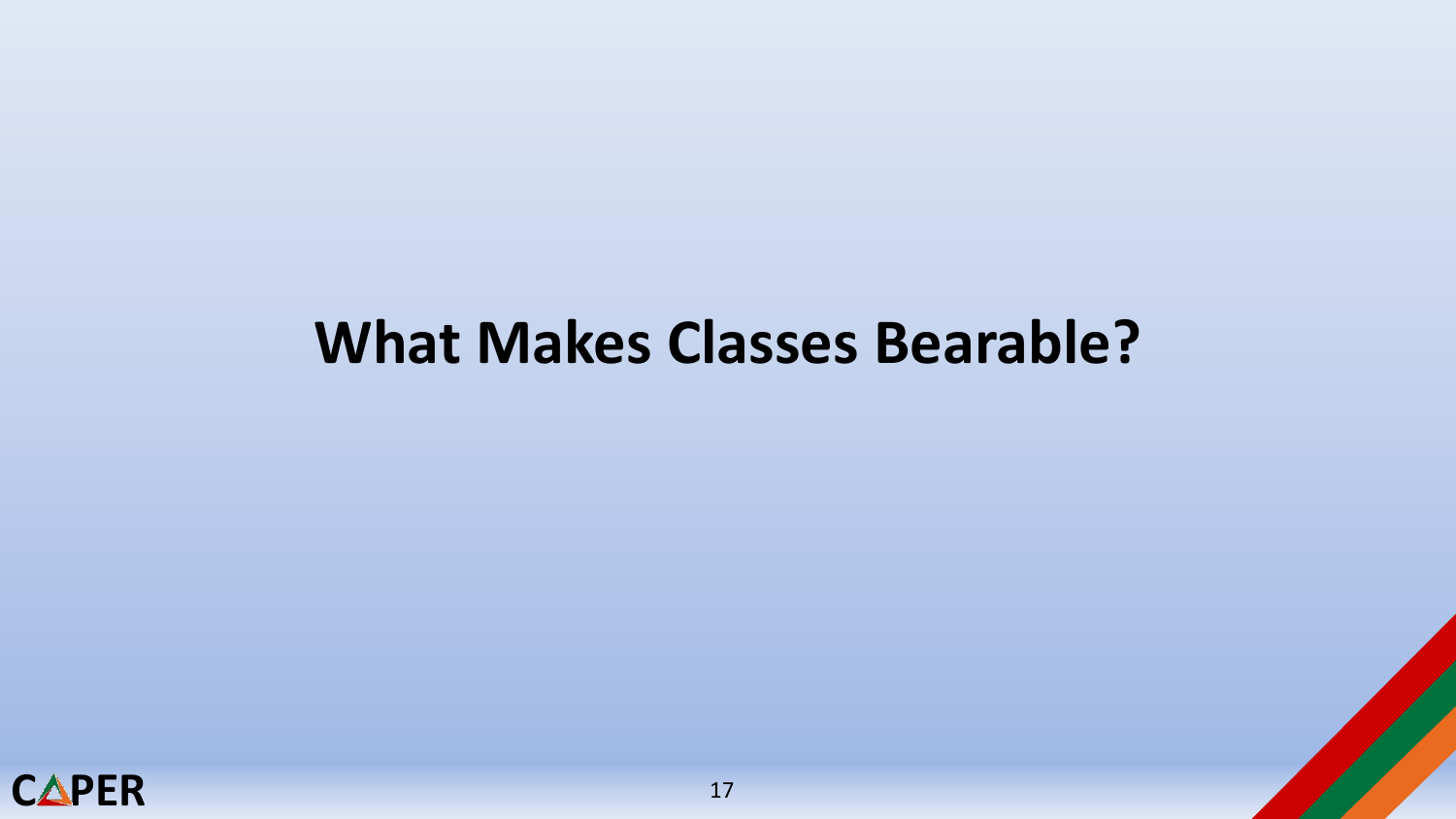### **What Makes Classes Bearable?**

![](_page_16_Picture_1.jpeg)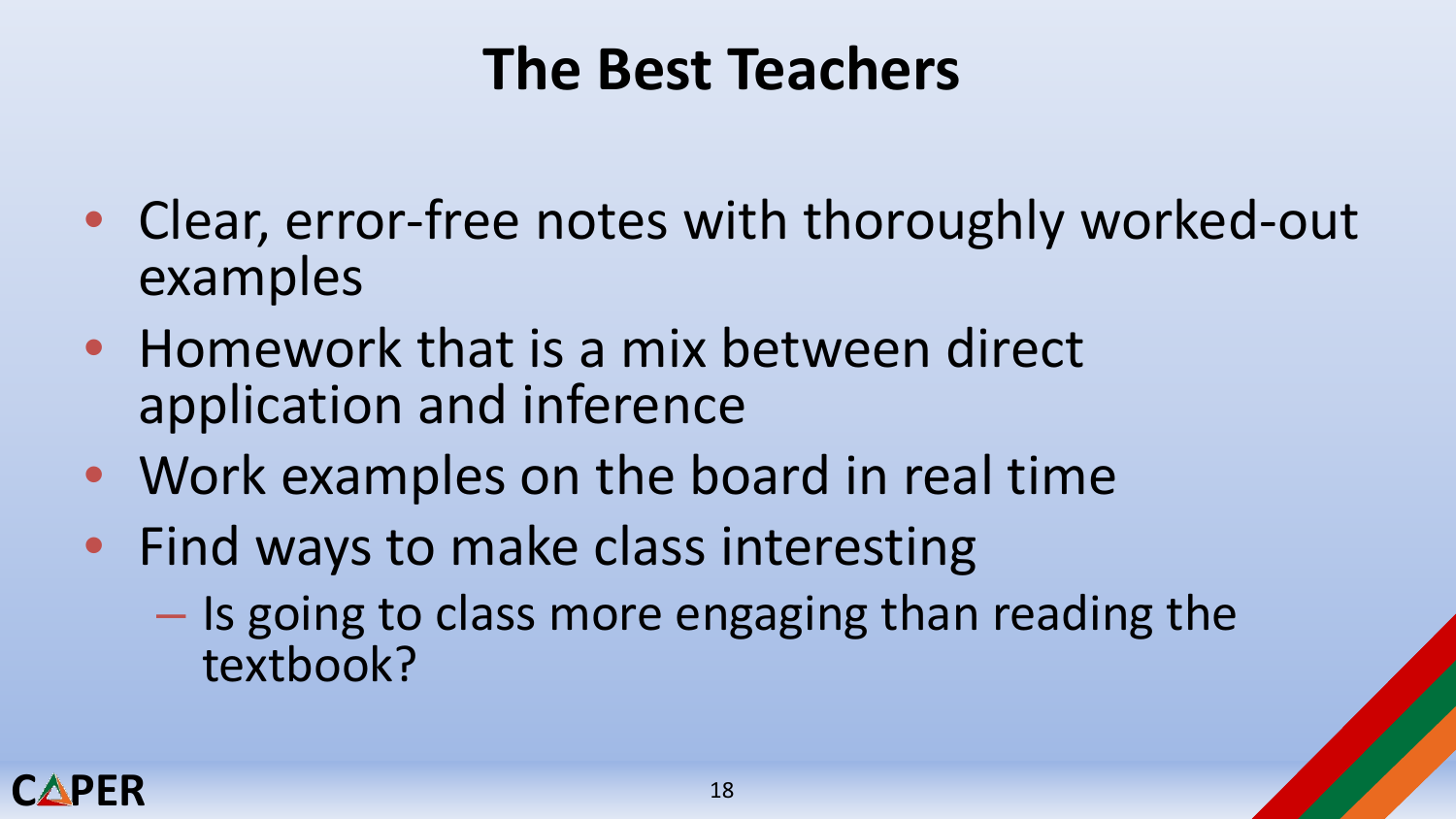## **The Best Teachers**

- Clear, error-free notes with thoroughly worked-out examples
- Homework that is a mix between direct application and inference
- Work examples on the board in real time
- Find ways to make class interesting
	- Is going to class more engaging than reading the textbook?

![](_page_17_Picture_6.jpeg)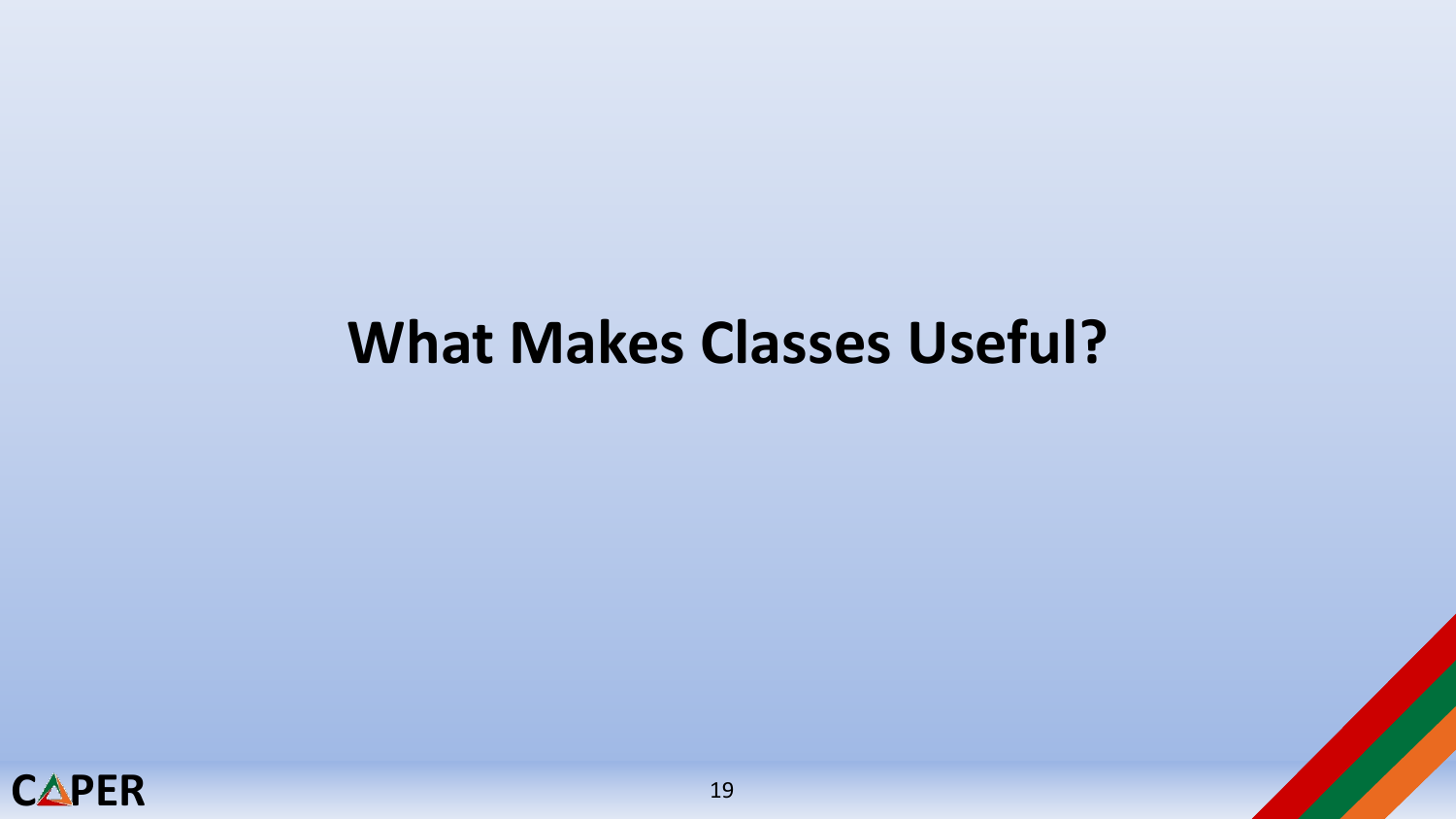### **What Makes Classes Useful?**

![](_page_18_Picture_1.jpeg)